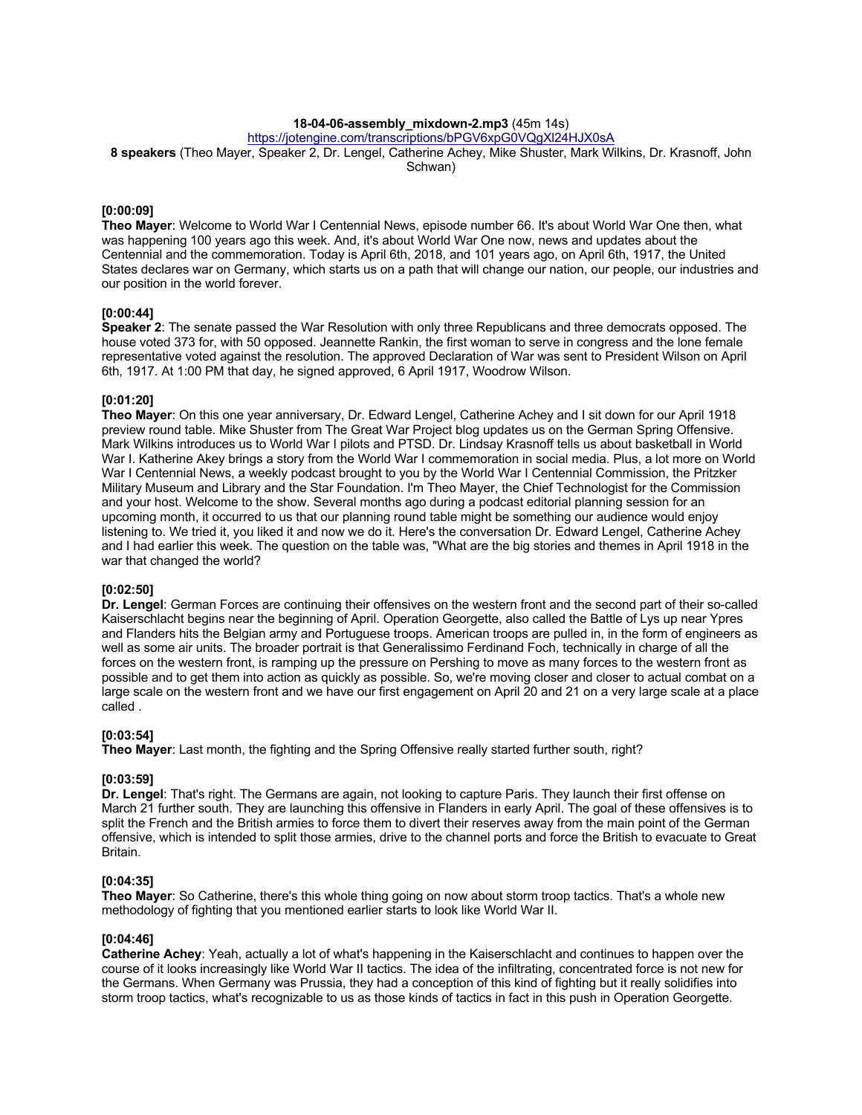# **18-04-06-assembly\_mixdown-2.mp3** (45m 14s)

https://jotengine.com/transcriptions/bPGV6xpG0VQgXl24HJX0sA

**8 speakers** (Theo Mayer, Speaker 2, Dr. Lengel, Catherine Achey, Mike Shuster, Mark Wilkins, Dr. Krasnoff, John Schwan)

## **[0:00:09]**

**Theo Mayer**: Welcome to World War I Centennial News, episode number 66. It's about World War One then, what was happening 100 years ago this week. And, it's about World War One now, news and updates about the Centennial and the commemoration. Today is April 6th, 2018, and 101 years ago, on April 6th, 1917, the United States declares war on Germany, which starts us on a path that will change our nation, our people, our industries and our position in the world forever.

## **[0:00:44]**

**Speaker 2**: The senate passed the War Resolution with only three Republicans and three democrats opposed. The house voted 373 for, with 50 opposed. Jeannette Rankin, the first woman to serve in congress and the lone female representative voted against the resolution. The approved Declaration of War was sent to President Wilson on April 6th, 1917. At 1:00 PM that day, he signed approved, 6 April 1917, Woodrow Wilson.

## **[0:01:20]**

**Theo Mayer**: On this one year anniversary, Dr. Edward Lengel, Catherine Achey and I sit down for our April 1918 preview round table. Mike Shuster from The Great War Project blog updates us on the German Spring Offensive. Mark Wilkins introduces us to World War I pilots and PTSD. Dr. Lindsay Krasnoff tells us about basketball in World War I. Katherine Akey brings a story from the World War I commemoration in social media. Plus, a lot more on World War I Centennial News, a weekly podcast brought to you by the World War I Centennial Commission, the Pritzker Military Museum and Library and the Star Foundation. I'm Theo Mayer, the Chief Technologist for the Commission and your host. Welcome to the show. Several months ago during a podcast editorial planning session for an upcoming month, it occurred to us that our planning round table might be something our audience would enjoy listening to. We tried it, you liked it and now we do it. Here's the conversation Dr. Edward Lengel, Catherine Achey and I had earlier this week. The question on the table was, "What are the big stories and themes in April 1918 in the war that changed the world?

#### **[0:02:50]**

**Dr. Lengel**: German Forces are continuing their offensives on the western front and the second part of their so-called Kaiserschlacht begins near the beginning of April. Operation Georgette, also called the Battle of Lys up near Ypres and Flanders hits the Belgian army and Portuguese troops. American troops are pulled in, in the form of engineers as well as some air units. The broader portrait is that Generalissimo Ferdinand Foch, technically in charge of all the forces on the western front, is ramping up the pressure on Pershing to move as many forces to the western front as possible and to get them into action as quickly as possible. So, we're moving closer and closer to actual combat on a large scale on the western front and we have our first engagement on April 20 and 21 on a very large scale at a place called .

## **[0:03:54]**

**Theo Mayer**: Last month, the fighting and the Spring Offensive really started further south, right?

## **[0:03:59]**

**Dr. Lengel**: That's right. The Germans are again, not looking to capture Paris. They launch their first offense on March 21 further south. They are launching this offensive in Flanders in early April. The goal of these offensives is to split the French and the British armies to force them to divert their reserves away from the main point of the German offensive, which is intended to split those armies, drive to the channel ports and force the British to evacuate to Great Britain.

## **[0:04:35]**

**Theo Mayer**: So Catherine, there's this whole thing going on now about storm troop tactics. That's a whole new methodology of fighting that you mentioned earlier starts to look like World War II.

#### **[0:04:46]**

**Catherine Achey**: Yeah, actually a lot of what's happening in the Kaiserschlacht and continues to happen over the course of it looks increasingly like World War II tactics. The idea of the infiltrating, concentrated force is not new for the Germans. When Germany was Prussia, they had a conception of this kind of fighting but it really solidifies into storm troop tactics, what's recognizable to us as those kinds of tactics in fact in this push in Operation Georgette.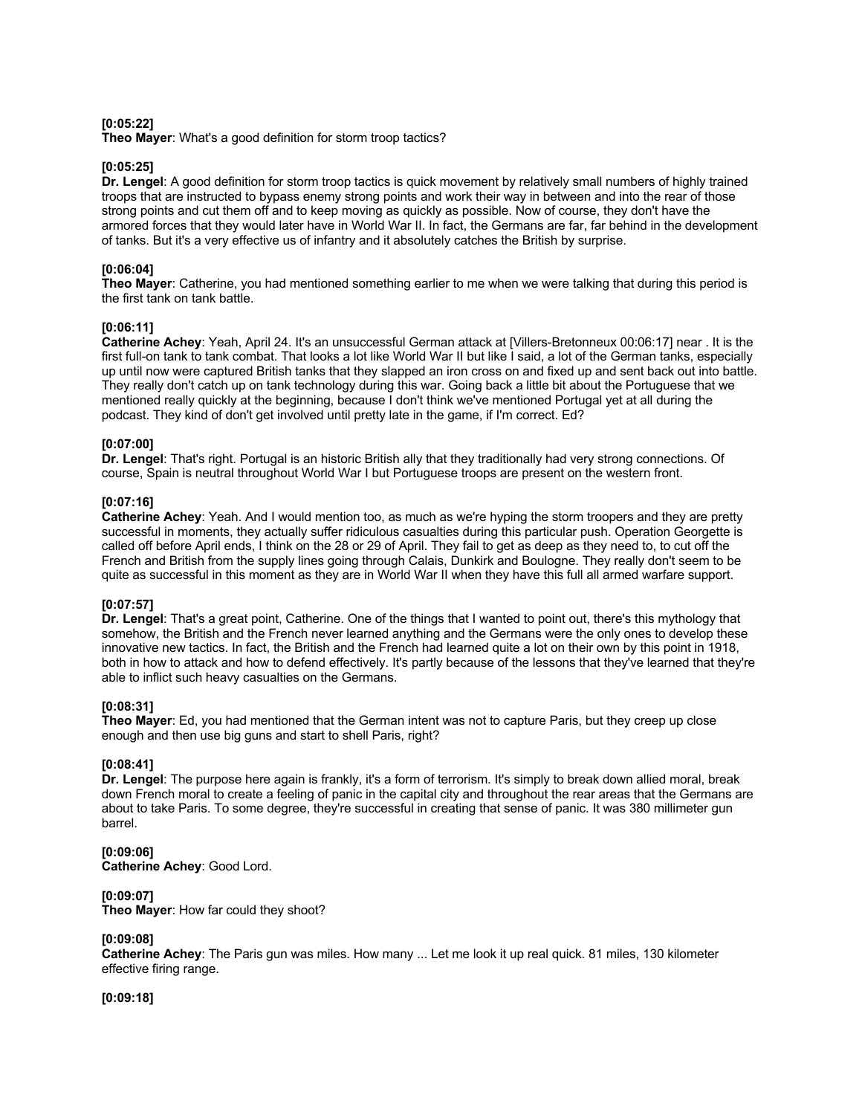## **[0:05:22]**

**Theo Mayer**: What's a good definition for storm troop tactics?

## **[0:05:25]**

**Dr. Lengel**: A good definition for storm troop tactics is quick movement by relatively small numbers of highly trained troops that are instructed to bypass enemy strong points and work their way in between and into the rear of those strong points and cut them off and to keep moving as quickly as possible. Now of course, they don't have the armored forces that they would later have in World War II. In fact, the Germans are far, far behind in the development of tanks. But it's a very effective us of infantry and it absolutely catches the British by surprise.

# **[0:06:04]**

**Theo Mayer**: Catherine, you had mentioned something earlier to me when we were talking that during this period is the first tank on tank battle.

## **[0:06:11]**

**Catherine Achey**: Yeah, April 24. It's an unsuccessful German attack at [Villers-Bretonneux 00:06:17] near . It is the first full-on tank to tank combat. That looks a lot like World War II but like I said, a lot of the German tanks, especially up until now were captured British tanks that they slapped an iron cross on and fixed up and sent back out into battle. They really don't catch up on tank technology during this war. Going back a little bit about the Portuguese that we mentioned really quickly at the beginning, because I don't think we've mentioned Portugal yet at all during the podcast. They kind of don't get involved until pretty late in the game, if I'm correct. Ed?

## **[0:07:00]**

**Dr. Lengel**: That's right. Portugal is an historic British ally that they traditionally had very strong connections. Of course, Spain is neutral throughout World War I but Portuguese troops are present on the western front.

## **[0:07:16]**

**Catherine Achey**: Yeah. And I would mention too, as much as we're hyping the storm troopers and they are pretty successful in moments, they actually suffer ridiculous casualties during this particular push. Operation Georgette is called off before April ends, I think on the 28 or 29 of April. They fail to get as deep as they need to, to cut off the French and British from the supply lines going through Calais, Dunkirk and Boulogne. They really don't seem to be quite as successful in this moment as they are in World War II when they have this full all armed warfare support.

# **[0:07:57]**

**Dr. Lengel**: That's a great point, Catherine. One of the things that I wanted to point out, there's this mythology that somehow, the British and the French never learned anything and the Germans were the only ones to develop these innovative new tactics. In fact, the British and the French had learned quite a lot on their own by this point in 1918, both in how to attack and how to defend effectively. It's partly because of the lessons that they've learned that they're able to inflict such heavy casualties on the Germans.

## **[0:08:31]**

**Theo Mayer**: Ed, you had mentioned that the German intent was not to capture Paris, but they creep up close enough and then use big guns and start to shell Paris, right?

## **[0:08:41]**

**Dr. Lengel**: The purpose here again is frankly, it's a form of terrorism. It's simply to break down allied moral, break down French moral to create a feeling of panic in the capital city and throughout the rear areas that the Germans are about to take Paris. To some degree, they're successful in creating that sense of panic. It was 380 millimeter gun barrel.

**[0:09:06] Catherine Achey**: Good Lord.

## **[0:09:07]**

**Theo Mayer**: How far could they shoot?

## **[0:09:08]**

**Catherine Achey**: The Paris gun was miles. How many ... Let me look it up real quick. 81 miles, 130 kilometer effective firing range.

## **[0:09:18]**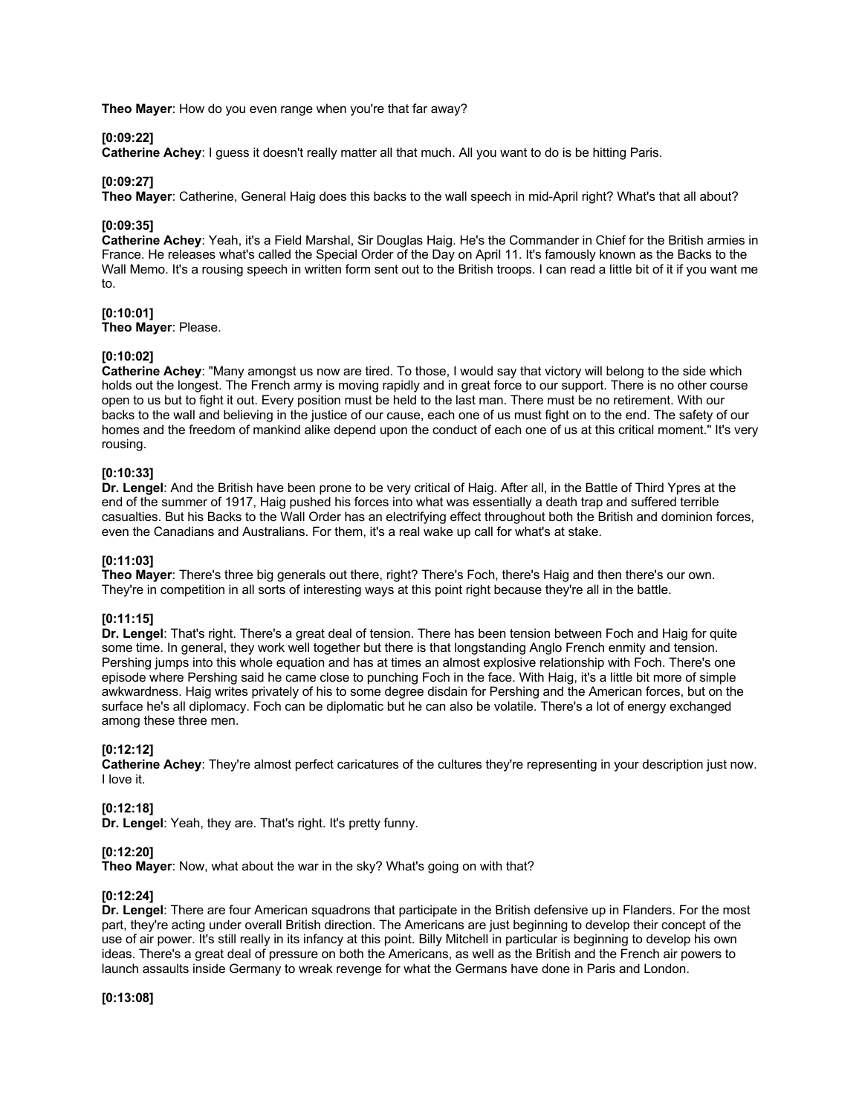**Theo Mayer**: How do you even range when you're that far away?

## **[0:09:22]**

**Catherine Achey**: I guess it doesn't really matter all that much. All you want to do is be hitting Paris.

## **[0:09:27]**

**Theo Mayer**: Catherine, General Haig does this backs to the wall speech in mid-April right? What's that all about?

## **[0:09:35]**

**Catherine Achey**: Yeah, it's a Field Marshal, Sir Douglas Haig. He's the Commander in Chief for the British armies in France. He releases what's called the Special Order of the Day on April 11. It's famously known as the Backs to the Wall Memo. It's a rousing speech in written form sent out to the British troops. I can read a little bit of it if you want me to.

## **[0:10:01]**

**Theo Mayer**: Please.

## **[0:10:02]**

**Catherine Achey**: "Many amongst us now are tired. To those, I would say that victory will belong to the side which holds out the longest. The French army is moving rapidly and in great force to our support. There is no other course open to us but to fight it out. Every position must be held to the last man. There must be no retirement. With our backs to the wall and believing in the justice of our cause, each one of us must fight on to the end. The safety of our homes and the freedom of mankind alike depend upon the conduct of each one of us at this critical moment." It's very rousing.

# **[0:10:33]**

**Dr. Lengel**: And the British have been prone to be very critical of Haig. After all, in the Battle of Third Ypres at the end of the summer of 1917, Haig pushed his forces into what was essentially a death trap and suffered terrible casualties. But his Backs to the Wall Order has an electrifying effect throughout both the British and dominion forces, even the Canadians and Australians. For them, it's a real wake up call for what's at stake.

## **[0:11:03]**

**Theo Mayer**: There's three big generals out there, right? There's Foch, there's Haig and then there's our own. They're in competition in all sorts of interesting ways at this point right because they're all in the battle.

## **[0:11:15]**

**Dr. Lengel**: That's right. There's a great deal of tension. There has been tension between Foch and Haig for quite some time. In general, they work well together but there is that longstanding Anglo French enmity and tension. Pershing jumps into this whole equation and has at times an almost explosive relationship with Foch. There's one episode where Pershing said he came close to punching Foch in the face. With Haig, it's a little bit more of simple awkwardness. Haig writes privately of his to some degree disdain for Pershing and the American forces, but on the surface he's all diplomacy. Foch can be diplomatic but he can also be volatile. There's a lot of energy exchanged among these three men.

# **[0:12:12]**

**Catherine Achey**: They're almost perfect caricatures of the cultures they're representing in your description just now. I love it.

## **[0:12:18]**

**Dr. Lengel**: Yeah, they are. That's right. It's pretty funny.

## **[0:12:20]**

**Theo Mayer**: Now, what about the war in the sky? What's going on with that?

## **[0:12:24]**

**Dr. Lengel**: There are four American squadrons that participate in the British defensive up in Flanders. For the most part, they're acting under overall British direction. The Americans are just beginning to develop their concept of the use of air power. It's still really in its infancy at this point. Billy Mitchell in particular is beginning to develop his own ideas. There's a great deal of pressure on both the Americans, as well as the British and the French air powers to launch assaults inside Germany to wreak revenge for what the Germans have done in Paris and London.

**[0:13:08]**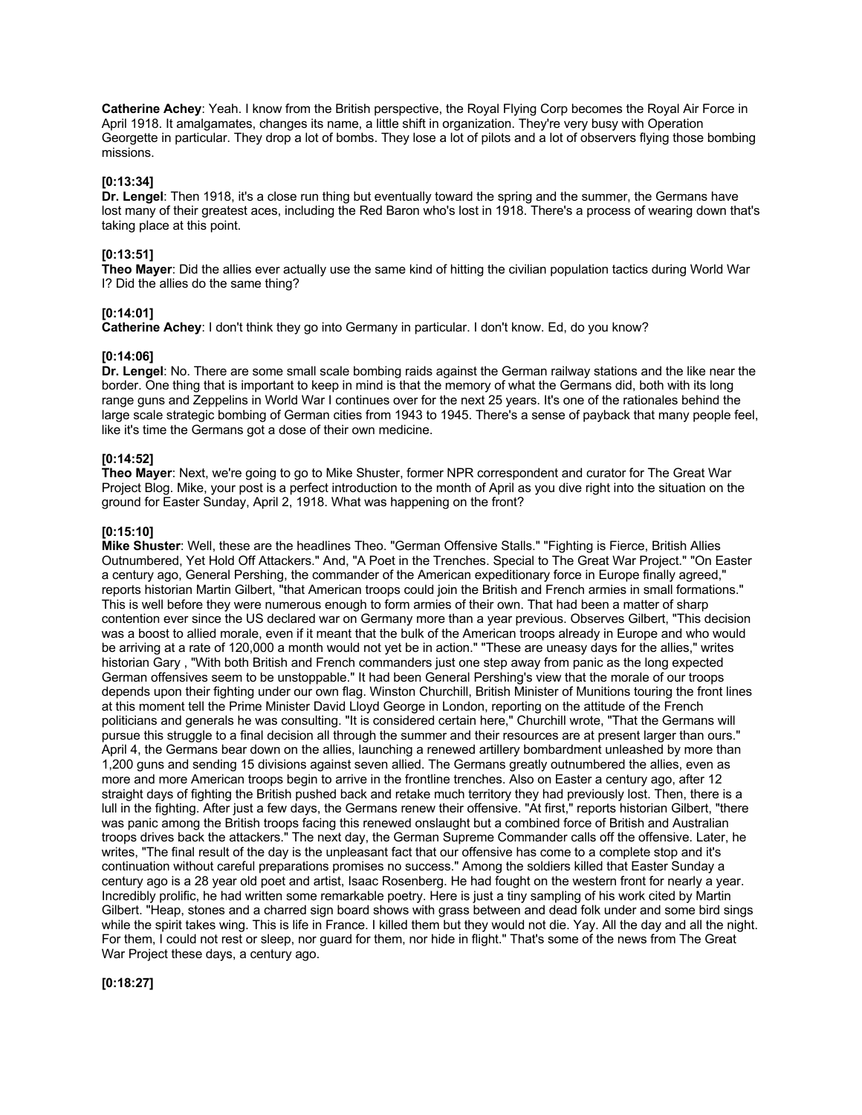**Catherine Achey**: Yeah. I know from the British perspective, the Royal Flying Corp becomes the Royal Air Force in April 1918. It amalgamates, changes its name, a little shift in organization. They're very busy with Operation Georgette in particular. They drop a lot of bombs. They lose a lot of pilots and a lot of observers flying those bombing missions.

#### **[0:13:34]**

**Dr. Lengel**: Then 1918, it's a close run thing but eventually toward the spring and the summer, the Germans have lost many of their greatest aces, including the Red Baron who's lost in 1918. There's a process of wearing down that's taking place at this point.

# **[0:13:51]**

**Theo Mayer**: Did the allies ever actually use the same kind of hitting the civilian population tactics during World War I? Did the allies do the same thing?

#### **[0:14:01]**

**Catherine Achey**: I don't think they go into Germany in particular. I don't know. Ed, do you know?

#### **[0:14:06]**

**Dr. Lengel**: No. There are some small scale bombing raids against the German railway stations and the like near the border. One thing that is important to keep in mind is that the memory of what the Germans did, both with its long range guns and Zeppelins in World War I continues over for the next 25 years. It's one of the rationales behind the large scale strategic bombing of German cities from 1943 to 1945. There's a sense of payback that many people feel, like it's time the Germans got a dose of their own medicine.

# **[0:14:52]**

**Theo Mayer**: Next, we're going to go to Mike Shuster, former NPR correspondent and curator for The Great War Project Blog. Mike, your post is a perfect introduction to the month of April as you dive right into the situation on the ground for Easter Sunday, April 2, 1918. What was happening on the front?

#### **[0:15:10]**

**Mike Shuster**: Well, these are the headlines Theo. "German Offensive Stalls." "Fighting is Fierce, British Allies Outnumbered, Yet Hold Off Attackers." And, "A Poet in the Trenches. Special to The Great War Project." "On Easter a century ago, General Pershing, the commander of the American expeditionary force in Europe finally agreed," reports historian Martin Gilbert, "that American troops could join the British and French armies in small formations." This is well before they were numerous enough to form armies of their own. That had been a matter of sharp contention ever since the US declared war on Germany more than a year previous. Observes Gilbert, "This decision was a boost to allied morale, even if it meant that the bulk of the American troops already in Europe and who would be arriving at a rate of 120,000 a month would not yet be in action." "These are uneasy days for the allies," writes historian Gary , "With both British and French commanders just one step away from panic as the long expected German offensives seem to be unstoppable." It had been General Pershing's view that the morale of our troops depends upon their fighting under our own flag. Winston Churchill, British Minister of Munitions touring the front lines at this moment tell the Prime Minister David Lloyd George in London, reporting on the attitude of the French politicians and generals he was consulting. "It is considered certain here," Churchill wrote, "That the Germans will pursue this struggle to a final decision all through the summer and their resources are at present larger than ours." April 4, the Germans bear down on the allies, launching a renewed artillery bombardment unleashed by more than 1,200 guns and sending 15 divisions against seven allied. The Germans greatly outnumbered the allies, even as more and more American troops begin to arrive in the frontline trenches. Also on Easter a century ago, after 12 straight days of fighting the British pushed back and retake much territory they had previously lost. Then, there is a lull in the fighting. After just a few days, the Germans renew their offensive. "At first," reports historian Gilbert, "there was panic among the British troops facing this renewed onslaught but a combined force of British and Australian troops drives back the attackers." The next day, the German Supreme Commander calls off the offensive. Later, he writes, "The final result of the day is the unpleasant fact that our offensive has come to a complete stop and it's continuation without careful preparations promises no success." Among the soldiers killed that Easter Sunday a century ago is a 28 year old poet and artist, Isaac Rosenberg. He had fought on the western front for nearly a year. Incredibly prolific, he had written some remarkable poetry. Here is just a tiny sampling of his work cited by Martin Gilbert. "Heap, stones and a charred sign board shows with grass between and dead folk under and some bird sings while the spirit takes wing. This is life in France. I killed them but they would not die. Yay. All the day and all the night. For them, I could not rest or sleep, nor guard for them, nor hide in flight." That's some of the news from The Great War Project these days, a century ago.

**[0:18:27]**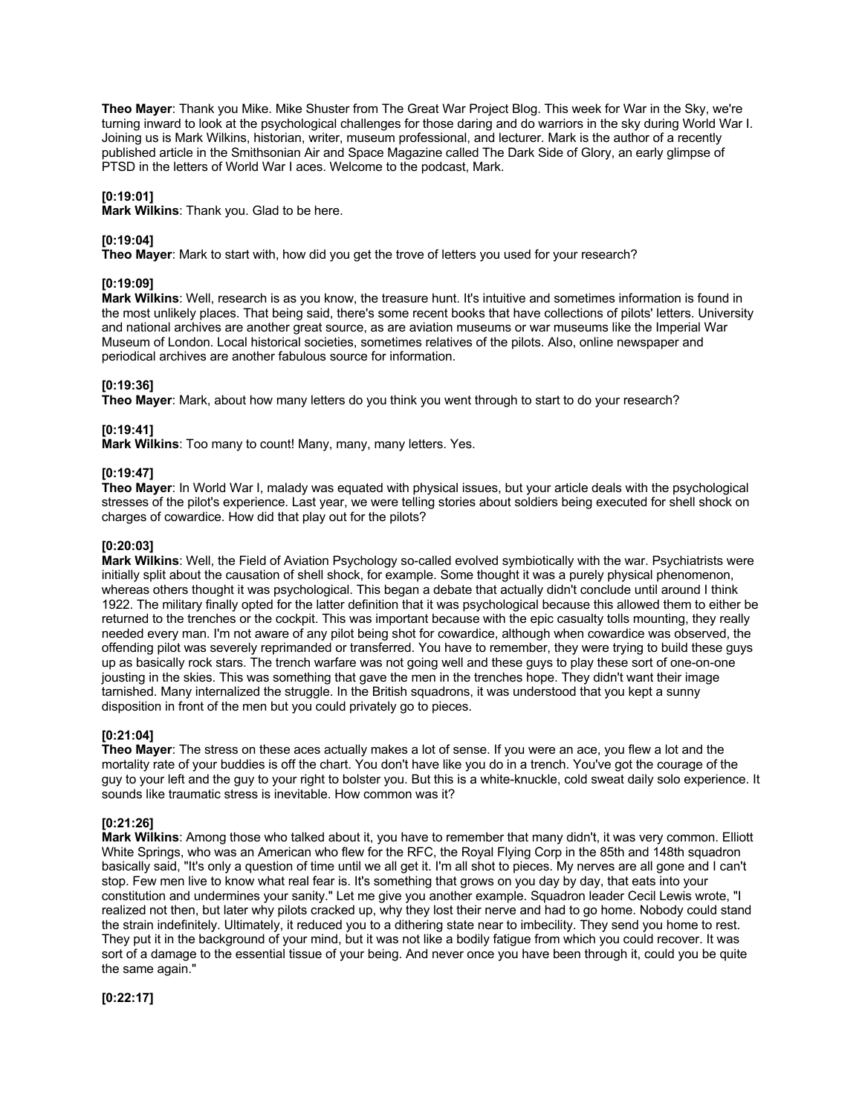**Theo Mayer**: Thank you Mike. Mike Shuster from The Great War Project Blog. This week for War in the Sky, we're turning inward to look at the psychological challenges for those daring and do warriors in the sky during World War I. Joining us is Mark Wilkins, historian, writer, museum professional, and lecturer. Mark is the author of a recently published article in the Smithsonian Air and Space Magazine called The Dark Side of Glory, an early glimpse of PTSD in the letters of World War I aces. Welcome to the podcast, Mark.

## **[0:19:01]**

**Mark Wilkins**: Thank you. Glad to be here.

## **[0:19:04]**

**Theo Mayer**: Mark to start with, how did you get the trove of letters you used for your research?

## **[0:19:09]**

**Mark Wilkins**: Well, research is as you know, the treasure hunt. It's intuitive and sometimes information is found in the most unlikely places. That being said, there's some recent books that have collections of pilots' letters. University and national archives are another great source, as are aviation museums or war museums like the Imperial War Museum of London. Local historical societies, sometimes relatives of the pilots. Also, online newspaper and periodical archives are another fabulous source for information.

## **[0:19:36]**

**Theo Mayer**: Mark, about how many letters do you think you went through to start to do your research?

## **[0:19:41]**

**Mark Wilkins**: Too many to count! Many, many, many letters. Yes.

## **[0:19:47]**

**Theo Mayer**: In World War I, malady was equated with physical issues, but your article deals with the psychological stresses of the pilot's experience. Last year, we were telling stories about soldiers being executed for shell shock on charges of cowardice. How did that play out for the pilots?

# **[0:20:03]**

**Mark Wilkins**: Well, the Field of Aviation Psychology so-called evolved symbiotically with the war. Psychiatrists were initially split about the causation of shell shock, for example. Some thought it was a purely physical phenomenon, whereas others thought it was psychological. This began a debate that actually didn't conclude until around I think 1922. The military finally opted for the latter definition that it was psychological because this allowed them to either be returned to the trenches or the cockpit. This was important because with the epic casualty tolls mounting, they really needed every man. I'm not aware of any pilot being shot for cowardice, although when cowardice was observed, the offending pilot was severely reprimanded or transferred. You have to remember, they were trying to build these guys up as basically rock stars. The trench warfare was not going well and these guys to play these sort of one-on-one jousting in the skies. This was something that gave the men in the trenches hope. They didn't want their image tarnished. Many internalized the struggle. In the British squadrons, it was understood that you kept a sunny disposition in front of the men but you could privately go to pieces.

## **[0:21:04]**

**Theo Mayer**: The stress on these aces actually makes a lot of sense. If you were an ace, you flew a lot and the mortality rate of your buddies is off the chart. You don't have like you do in a trench. You've got the courage of the guy to your left and the guy to your right to bolster you. But this is a white-knuckle, cold sweat daily solo experience. It sounds like traumatic stress is inevitable. How common was it?

# **[0:21:26]**

**Mark Wilkins**: Among those who talked about it, you have to remember that many didn't, it was very common. Elliott White Springs, who was an American who flew for the RFC, the Royal Flying Corp in the 85th and 148th squadron basically said, "It's only a question of time until we all get it. I'm all shot to pieces. My nerves are all gone and I can't stop. Few men live to know what real fear is. It's something that grows on you day by day, that eats into your constitution and undermines your sanity." Let me give you another example. Squadron leader Cecil Lewis wrote, "I realized not then, but later why pilots cracked up, why they lost their nerve and had to go home. Nobody could stand the strain indefinitely. Ultimately, it reduced you to a dithering state near to imbecility. They send you home to rest. They put it in the background of your mind, but it was not like a bodily fatigue from which you could recover. It was sort of a damage to the essential tissue of your being. And never once you have been through it, could you be quite the same again."

**[0:22:17]**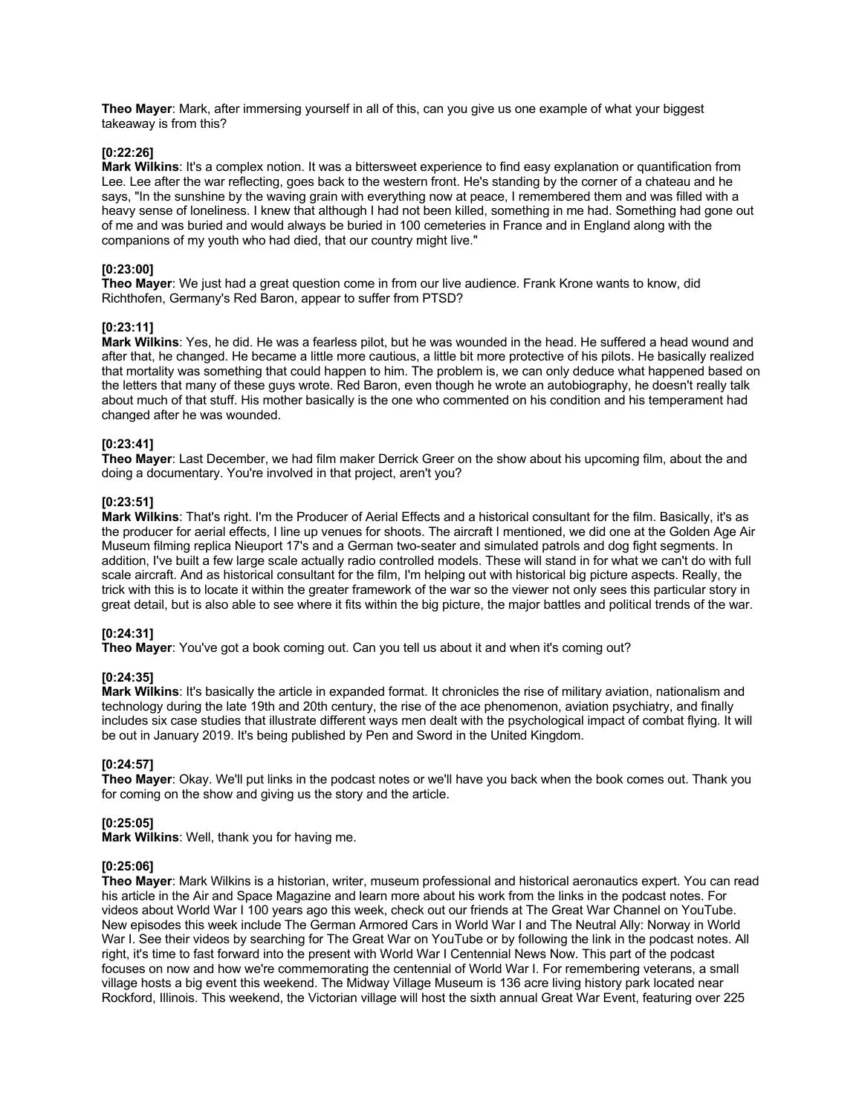**Theo Mayer**: Mark, after immersing yourself in all of this, can you give us one example of what your biggest takeaway is from this?

## **[0:22:26]**

**Mark Wilkins**: It's a complex notion. It was a bittersweet experience to find easy explanation or quantification from Lee. Lee after the war reflecting, goes back to the western front. He's standing by the corner of a chateau and he says, "In the sunshine by the waving grain with everything now at peace, I remembered them and was filled with a heavy sense of loneliness. I knew that although I had not been killed, something in me had. Something had gone out of me and was buried and would always be buried in 100 cemeteries in France and in England along with the companions of my youth who had died, that our country might live."

## **[0:23:00]**

**Theo Mayer**: We just had a great question come in from our live audience. Frank Krone wants to know, did Richthofen, Germany's Red Baron, appear to suffer from PTSD?

#### **[0:23:11]**

**Mark Wilkins**: Yes, he did. He was a fearless pilot, but he was wounded in the head. He suffered a head wound and after that, he changed. He became a little more cautious, a little bit more protective of his pilots. He basically realized that mortality was something that could happen to him. The problem is, we can only deduce what happened based on the letters that many of these guys wrote. Red Baron, even though he wrote an autobiography, he doesn't really talk about much of that stuff. His mother basically is the one who commented on his condition and his temperament had changed after he was wounded.

## **[0:23:41]**

**Theo Mayer**: Last December, we had film maker Derrick Greer on the show about his upcoming film, about the and doing a documentary. You're involved in that project, aren't you?

#### **[0:23:51]**

**Mark Wilkins**: That's right. I'm the Producer of Aerial Effects and a historical consultant for the film. Basically, it's as the producer for aerial effects, I line up venues for shoots. The aircraft I mentioned, we did one at the Golden Age Air Museum filming replica Nieuport 17's and a German two-seater and simulated patrols and dog fight segments. In addition, I've built a few large scale actually radio controlled models. These will stand in for what we can't do with full scale aircraft. And as historical consultant for the film, I'm helping out with historical big picture aspects. Really, the trick with this is to locate it within the greater framework of the war so the viewer not only sees this particular story in great detail, but is also able to see where it fits within the big picture, the major battles and political trends of the war.

# **[0:24:31]**

**Theo Mayer**: You've got a book coming out. Can you tell us about it and when it's coming out?

## **[0:24:35]**

**Mark Wilkins**: It's basically the article in expanded format. It chronicles the rise of military aviation, nationalism and technology during the late 19th and 20th century, the rise of the ace phenomenon, aviation psychiatry, and finally includes six case studies that illustrate different ways men dealt with the psychological impact of combat flying. It will be out in January 2019. It's being published by Pen and Sword in the United Kingdom.

#### **[0:24:57]**

**Theo Mayer**: Okay. We'll put links in the podcast notes or we'll have you back when the book comes out. Thank you for coming on the show and giving us the story and the article.

#### **[0:25:05]**

**Mark Wilkins**: Well, thank you for having me.

#### **[0:25:06]**

**Theo Mayer**: Mark Wilkins is a historian, writer, museum professional and historical aeronautics expert. You can read his article in the Air and Space Magazine and learn more about his work from the links in the podcast notes. For videos about World War I 100 years ago this week, check out our friends at The Great War Channel on YouTube. New episodes this week include The German Armored Cars in World War I and The Neutral Ally: Norway in World War I. See their videos by searching for The Great War on YouTube or by following the link in the podcast notes. All right, it's time to fast forward into the present with World War I Centennial News Now. This part of the podcast focuses on now and how we're commemorating the centennial of World War I. For remembering veterans, a small village hosts a big event this weekend. The Midway Village Museum is 136 acre living history park located near Rockford, Illinois. This weekend, the Victorian village will host the sixth annual Great War Event, featuring over 225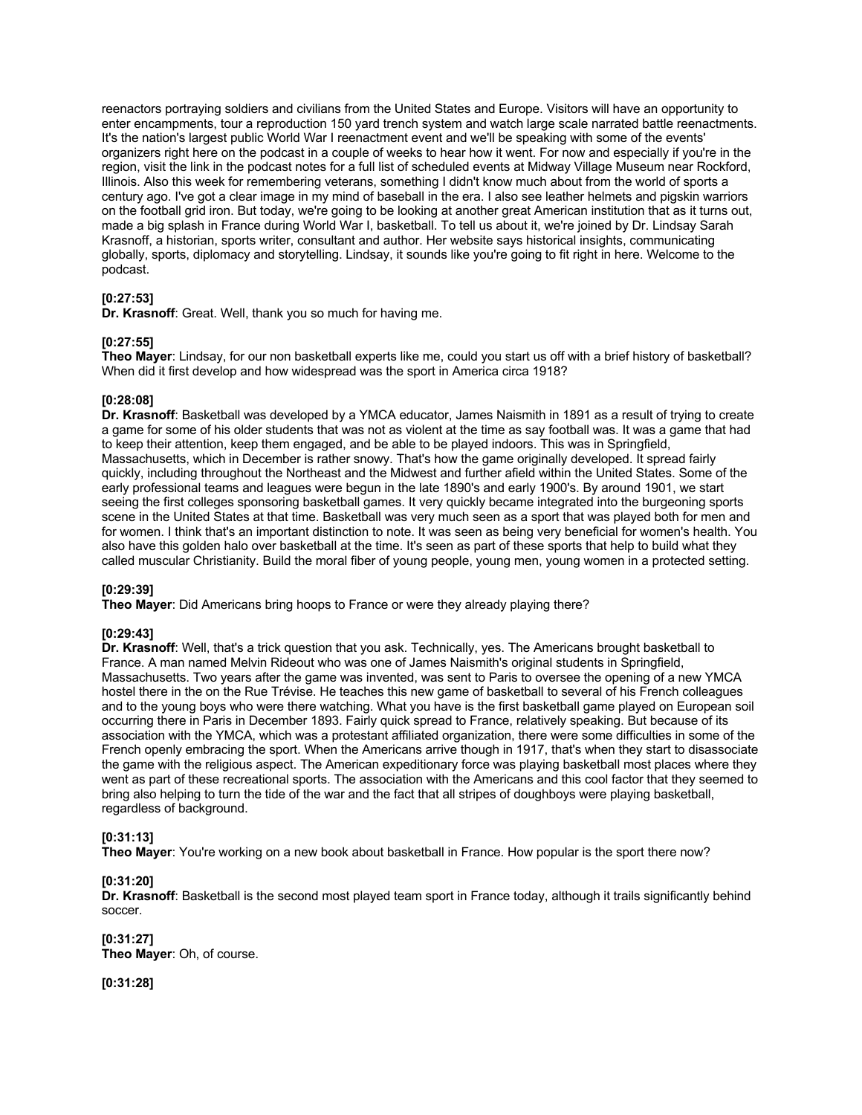reenactors portraying soldiers and civilians from the United States and Europe. Visitors will have an opportunity to enter encampments, tour a reproduction 150 yard trench system and watch large scale narrated battle reenactments. It's the nation's largest public World War I reenactment event and we'll be speaking with some of the events' organizers right here on the podcast in a couple of weeks to hear how it went. For now and especially if you're in the region, visit the link in the podcast notes for a full list of scheduled events at Midway Village Museum near Rockford, Illinois. Also this week for remembering veterans, something I didn't know much about from the world of sports a century ago. I've got a clear image in my mind of baseball in the era. I also see leather helmets and pigskin warriors on the football grid iron. But today, we're going to be looking at another great American institution that as it turns out, made a big splash in France during World War I, basketball. To tell us about it, we're joined by Dr. Lindsay Sarah Krasnoff, a historian, sports writer, consultant and author. Her website says historical insights, communicating globally, sports, diplomacy and storytelling. Lindsay, it sounds like you're going to fit right in here. Welcome to the podcast.

## **[0:27:53]**

**Dr. Krasnoff**: Great. Well, thank you so much for having me.

## **[0:27:55]**

**Theo Mayer**: Lindsay, for our non basketball experts like me, could you start us off with a brief history of basketball? When did it first develop and how widespread was the sport in America circa 1918?

#### **[0:28:08]**

**Dr. Krasnoff**: Basketball was developed by a YMCA educator, James Naismith in 1891 as a result of trying to create a game for some of his older students that was not as violent at the time as say football was. It was a game that had to keep their attention, keep them engaged, and be able to be played indoors. This was in Springfield, Massachusetts, which in December is rather snowy. That's how the game originally developed. It spread fairly quickly, including throughout the Northeast and the Midwest and further afield within the United States. Some of the early professional teams and leagues were begun in the late 1890's and early 1900's. By around 1901, we start seeing the first colleges sponsoring basketball games. It very quickly became integrated into the burgeoning sports scene in the United States at that time. Basketball was very much seen as a sport that was played both for men and for women. I think that's an important distinction to note. It was seen as being very beneficial for women's health. You also have this golden halo over basketball at the time. It's seen as part of these sports that help to build what they called muscular Christianity. Build the moral fiber of young people, young men, young women in a protected setting.

## **[0:29:39]**

**Theo Mayer**: Did Americans bring hoops to France or were they already playing there?

#### **[0:29:43]**

**Dr. Krasnoff**: Well, that's a trick question that you ask. Technically, yes. The Americans brought basketball to France. A man named Melvin Rideout who was one of James Naismith's original students in Springfield, Massachusetts. Two years after the game was invented, was sent to Paris to oversee the opening of a new YMCA hostel there in the on the Rue Trévise. He teaches this new game of basketball to several of his French colleagues and to the young boys who were there watching. What you have is the first basketball game played on European soil occurring there in Paris in December 1893. Fairly quick spread to France, relatively speaking. But because of its association with the YMCA, which was a protestant affiliated organization, there were some difficulties in some of the French openly embracing the sport. When the Americans arrive though in 1917, that's when they start to disassociate the game with the religious aspect. The American expeditionary force was playing basketball most places where they went as part of these recreational sports. The association with the Americans and this cool factor that they seemed to bring also helping to turn the tide of the war and the fact that all stripes of doughboys were playing basketball, regardless of background.

## **[0:31:13]**

**Theo Mayer**: You're working on a new book about basketball in France. How popular is the sport there now?

## **[0:31:20]**

**Dr. Krasnoff**: Basketball is the second most played team sport in France today, although it trails significantly behind soccer.

#### **[0:31:27] Theo Mayer**: Oh, of course.

**[0:31:28]**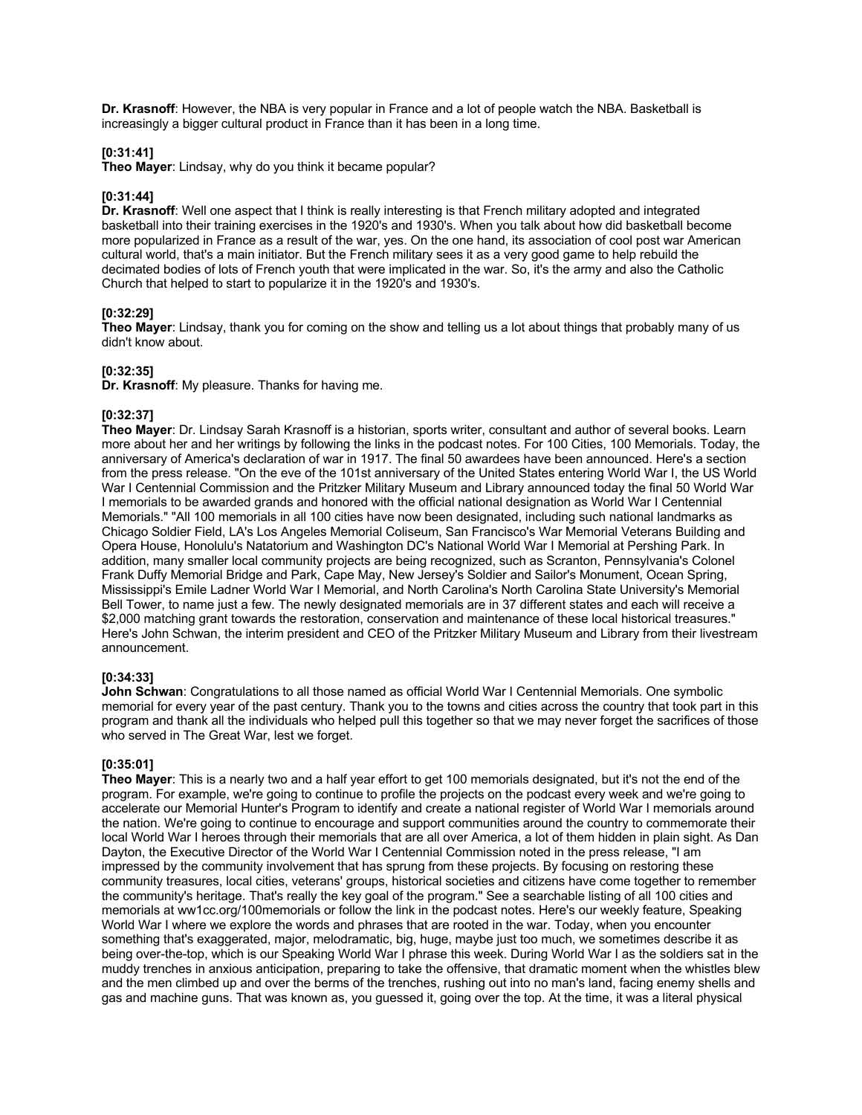**Dr. Krasnoff**: However, the NBA is very popular in France and a lot of people watch the NBA. Basketball is increasingly a bigger cultural product in France than it has been in a long time.

## **[0:31:41]**

**Theo Mayer**: Lindsay, why do you think it became popular?

#### **[0:31:44]**

**Dr. Krasnoff**: Well one aspect that I think is really interesting is that French military adopted and integrated basketball into their training exercises in the 1920's and 1930's. When you talk about how did basketball become more popularized in France as a result of the war, yes. On the one hand, its association of cool post war American cultural world, that's a main initiator. But the French military sees it as a very good game to help rebuild the decimated bodies of lots of French youth that were implicated in the war. So, it's the army and also the Catholic Church that helped to start to popularize it in the 1920's and 1930's.

## **[0:32:29]**

**Theo Mayer**: Lindsay, thank you for coming on the show and telling us a lot about things that probably many of us didn't know about.

#### **[0:32:35]**

**Dr. Krasnoff**: My pleasure. Thanks for having me.

#### **[0:32:37]**

**Theo Mayer**: Dr. Lindsay Sarah Krasnoff is a historian, sports writer, consultant and author of several books. Learn more about her and her writings by following the links in the podcast notes. For 100 Cities, 100 Memorials. Today, the anniversary of America's declaration of war in 1917. The final 50 awardees have been announced. Here's a section from the press release. "On the eve of the 101st anniversary of the United States entering World War I, the US World War I Centennial Commission and the Pritzker Military Museum and Library announced today the final 50 World War I memorials to be awarded grands and honored with the official national designation as World War I Centennial Memorials." "All 100 memorials in all 100 cities have now been designated, including such national landmarks as Chicago Soldier Field, LA's Los Angeles Memorial Coliseum, San Francisco's War Memorial Veterans Building and Opera House, Honolulu's Natatorium and Washington DC's National World War I Memorial at Pershing Park. In addition, many smaller local community projects are being recognized, such as Scranton, Pennsylvania's Colonel Frank Duffy Memorial Bridge and Park, Cape May, New Jersey's Soldier and Sailor's Monument, Ocean Spring, Mississippi's Emile Ladner World War I Memorial, and North Carolina's North Carolina State University's Memorial Bell Tower, to name just a few. The newly designated memorials are in 37 different states and each will receive a \$2,000 matching grant towards the restoration, conservation and maintenance of these local historical treasures." Here's John Schwan, the interim president and CEO of the Pritzker Military Museum and Library from their livestream announcement.

## **[0:34:33]**

**John Schwan**: Congratulations to all those named as official World War I Centennial Memorials. One symbolic memorial for every year of the past century. Thank you to the towns and cities across the country that took part in this program and thank all the individuals who helped pull this together so that we may never forget the sacrifices of those who served in The Great War, lest we forget.

#### **[0:35:01]**

**Theo Mayer**: This is a nearly two and a half year effort to get 100 memorials designated, but it's not the end of the program. For example, we're going to continue to profile the projects on the podcast every week and we're going to accelerate our Memorial Hunter's Program to identify and create a national register of World War I memorials around the nation. We're going to continue to encourage and support communities around the country to commemorate their local World War I heroes through their memorials that are all over America, a lot of them hidden in plain sight. As Dan Dayton, the Executive Director of the World War I Centennial Commission noted in the press release, "I am impressed by the community involvement that has sprung from these projects. By focusing on restoring these community treasures, local cities, veterans' groups, historical societies and citizens have come together to remember the community's heritage. That's really the key goal of the program." See a searchable listing of all 100 cities and memorials at ww1cc.org/100memorials or follow the link in the podcast notes. Here's our weekly feature, Speaking World War I where we explore the words and phrases that are rooted in the war. Today, when you encounter something that's exaggerated, major, melodramatic, big, huge, maybe just too much, we sometimes describe it as being over-the-top, which is our Speaking World War I phrase this week. During World War I as the soldiers sat in the muddy trenches in anxious anticipation, preparing to take the offensive, that dramatic moment when the whistles blew and the men climbed up and over the berms of the trenches, rushing out into no man's land, facing enemy shells and gas and machine guns. That was known as, you guessed it, going over the top. At the time, it was a literal physical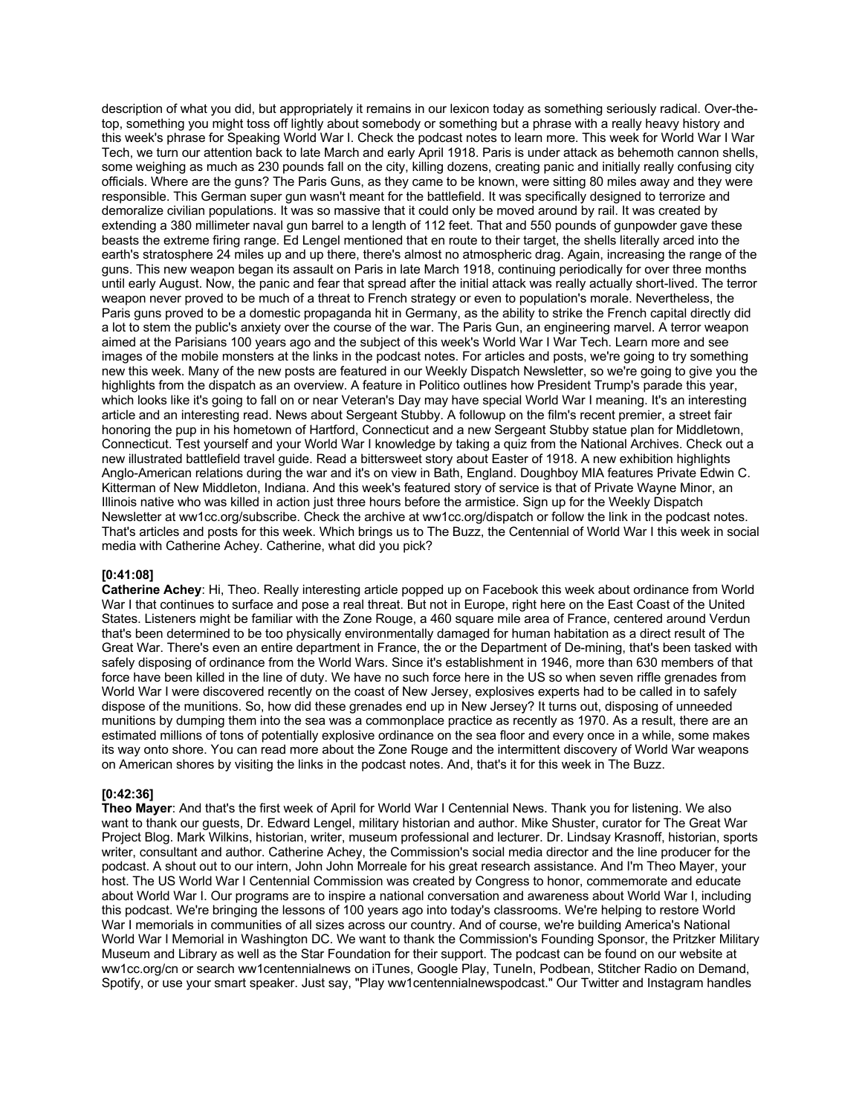description of what you did, but appropriately it remains in our lexicon today as something seriously radical. Over-thetop, something you might toss off lightly about somebody or something but a phrase with a really heavy history and this week's phrase for Speaking World War I. Check the podcast notes to learn more. This week for World War I War Tech, we turn our attention back to late March and early April 1918. Paris is under attack as behemoth cannon shells, some weighing as much as 230 pounds fall on the city, killing dozens, creating panic and initially really confusing city officials. Where are the guns? The Paris Guns, as they came to be known, were sitting 80 miles away and they were responsible. This German super gun wasn't meant for the battlefield. It was specifically designed to terrorize and demoralize civilian populations. It was so massive that it could only be moved around by rail. It was created by extending a 380 millimeter naval gun barrel to a length of 112 feet. That and 550 pounds of gunpowder gave these beasts the extreme firing range. Ed Lengel mentioned that en route to their target, the shells literally arced into the earth's stratosphere 24 miles up and up there, there's almost no atmospheric drag. Again, increasing the range of the guns. This new weapon began its assault on Paris in late March 1918, continuing periodically for over three months until early August. Now, the panic and fear that spread after the initial attack was really actually short-lived. The terror weapon never proved to be much of a threat to French strategy or even to population's morale. Nevertheless, the Paris guns proved to be a domestic propaganda hit in Germany, as the ability to strike the French capital directly did a lot to stem the public's anxiety over the course of the war. The Paris Gun, an engineering marvel. A terror weapon aimed at the Parisians 100 years ago and the subject of this week's World War I War Tech. Learn more and see images of the mobile monsters at the links in the podcast notes. For articles and posts, we're going to try something new this week. Many of the new posts are featured in our Weekly Dispatch Newsletter, so we're going to give you the highlights from the dispatch as an overview. A feature in Politico outlines how President Trump's parade this year, which looks like it's going to fall on or near Veteran's Day may have special World War I meaning. It's an interesting article and an interesting read. News about Sergeant Stubby. A followup on the film's recent premier, a street fair honoring the pup in his hometown of Hartford, Connecticut and a new Sergeant Stubby statue plan for Middletown, Connecticut. Test yourself and your World War I knowledge by taking a quiz from the National Archives. Check out a new illustrated battlefield travel guide. Read a bittersweet story about Easter of 1918. A new exhibition highlights Anglo-American relations during the war and it's on view in Bath, England. Doughboy MIA features Private Edwin C. Kitterman of New Middleton, Indiana. And this week's featured story of service is that of Private Wayne Minor, an Illinois native who was killed in action just three hours before the armistice. Sign up for the Weekly Dispatch Newsletter at ww1cc.org/subscribe. Check the archive at ww1cc.org/dispatch or follow the link in the podcast notes. That's articles and posts for this week. Which brings us to The Buzz, the Centennial of World War I this week in social media with Catherine Achey. Catherine, what did you pick?

#### **[0:41:08]**

**Catherine Achey**: Hi, Theo. Really interesting article popped up on Facebook this week about ordinance from World War I that continues to surface and pose a real threat. But not in Europe, right here on the East Coast of the United States. Listeners might be familiar with the Zone Rouge, a 460 square mile area of France, centered around Verdun that's been determined to be too physically environmentally damaged for human habitation as a direct result of The Great War. There's even an entire department in France, the or the Department of De-mining, that's been tasked with safely disposing of ordinance from the World Wars. Since it's establishment in 1946, more than 630 members of that force have been killed in the line of duty. We have no such force here in the US so when seven riffle grenades from World War I were discovered recently on the coast of New Jersey, explosives experts had to be called in to safely dispose of the munitions. So, how did these grenades end up in New Jersey? It turns out, disposing of unneeded munitions by dumping them into the sea was a commonplace practice as recently as 1970. As a result, there are an estimated millions of tons of potentially explosive ordinance on the sea floor and every once in a while, some makes its way onto shore. You can read more about the Zone Rouge and the intermittent discovery of World War weapons on American shores by visiting the links in the podcast notes. And, that's it for this week in The Buzz.

## **[0:42:36]**

**Theo Mayer**: And that's the first week of April for World War I Centennial News. Thank you for listening. We also want to thank our guests, Dr. Edward Lengel, military historian and author. Mike Shuster, curator for The Great War Project Blog. Mark Wilkins, historian, writer, museum professional and lecturer. Dr. Lindsay Krasnoff, historian, sports writer, consultant and author. Catherine Achey, the Commission's social media director and the line producer for the podcast. A shout out to our intern, John John Morreale for his great research assistance. And I'm Theo Mayer, your host. The US World War I Centennial Commission was created by Congress to honor, commemorate and educate about World War I. Our programs are to inspire a national conversation and awareness about World War I, including this podcast. We're bringing the lessons of 100 years ago into today's classrooms. We're helping to restore World War I memorials in communities of all sizes across our country. And of course, we're building America's National World War I Memorial in Washington DC. We want to thank the Commission's Founding Sponsor, the Pritzker Military Museum and Library as well as the Star Foundation for their support. The podcast can be found on our website at ww1cc.org/cn or search ww1centennialnews on iTunes, Google Play, TuneIn, Podbean, Stitcher Radio on Demand, Spotify, or use your smart speaker. Just say, "Play ww1centennialnewspodcast." Our Twitter and Instagram handles